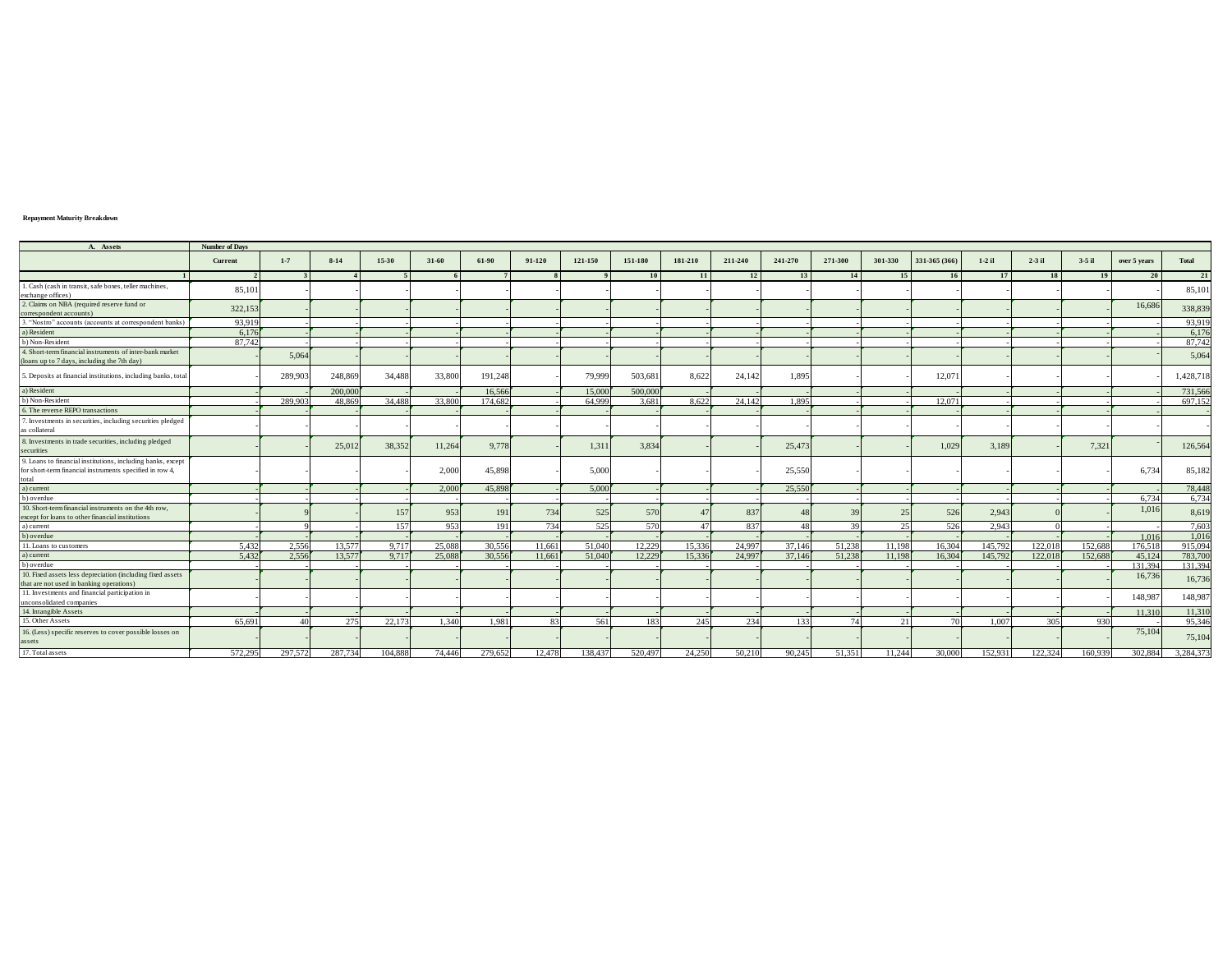## **Repayment Maturity Breakdown**

| A. Assets                                                     | <b>Number of Days</b> |                  |          |         |        |         |        |         |         |         |         |         |                |         |               |          |          |          |              |           |
|---------------------------------------------------------------|-----------------------|------------------|----------|---------|--------|---------|--------|---------|---------|---------|---------|---------|----------------|---------|---------------|----------|----------|----------|--------------|-----------|
|                                                               | Current               | $1 - 7$          | $8 - 14$ | 15-30   | 31-60  | 61-90   | 91-120 | 121-150 | 151-180 | 181-210 | 211-240 | 241-270 | 271-300        | 301-330 | 331-365 (366) | $1-2$ il | $2-3$ il | $3-5$ il | over 5 years | Total     |
|                                                               |                       |                  |          |         |        |         |        |         | 10      | 11      | 12      | 13      |                | 15      | 16            | 17       | 18       | 19       | 20           | 21        |
| 1. Cash (cash in transit, safe boxes, teller machines,        | 85,101                |                  |          |         |        |         |        |         |         |         |         |         |                |         |               |          |          |          |              | 85,101    |
| exchange offices)                                             |                       |                  |          |         |        |         |        |         |         |         |         |         |                |         |               |          |          |          |              |           |
| 2. Claims on NBA (required reserve fund or                    | 322,153               |                  |          |         |        |         |        |         |         |         |         |         |                |         |               |          |          |          | 16,686       | 338,839   |
| correspondent accounts)                                       |                       |                  |          |         |        |         |        |         |         |         |         |         |                |         |               |          |          |          |              |           |
| 3. "Nostro" accounts (accounts at correspondent banks)        | 93,919                |                  |          |         |        |         |        |         |         |         |         |         |                |         |               |          |          |          |              | 93,91     |
| a) Resident                                                   | 6.176                 |                  |          |         |        |         |        |         |         |         |         |         |                |         |               |          |          |          |              | 6,176     |
| b) Non-Resident                                               | 87,742                |                  |          |         |        |         |        |         |         |         |         |         |                |         |               |          |          |          |              | 87,742    |
| 4. Short-term financial instruments of inter-bank market      |                       | 5.064            |          |         |        |         |        |         |         |         |         |         |                |         |               |          |          |          |              | 5,064     |
| (loans up to 7 days, including the 7th day)                   |                       |                  |          |         |        |         |        |         |         |         |         |         |                |         |               |          |          |          |              |           |
| 5. Deposits at financial institutions, including banks, total |                       | 289,903          | 248,869  | 34,488  | 33,800 | 191,248 |        | 79,999  | 503,681 | 8.622   | 24,142  | 1,895   |                |         | 12,071        |          |          |          |              | 1,428,718 |
| a) Resident                                                   |                       |                  | 200.000  |         |        | 16.566  |        | 15,000  | 500.000 |         |         |         |                |         |               |          |          |          |              | 731,566   |
| b) Non-Resident                                               |                       | 289.903          | 48.869   | 34.488  | 33.800 | 174.682 |        | 64.999  | 3.681   | 8.622   | 24,142  | 1.895   |                |         | 12.071        |          |          |          |              | 697,15    |
| 6. The reverse REPO transactions                              |                       |                  |          |         |        |         |        |         |         |         |         |         |                |         |               |          |          |          |              |           |
| 7. Investments in securities, including securities pledged    |                       |                  |          |         |        |         |        |         |         |         |         |         |                |         |               |          |          |          |              |           |
| as collateral                                                 |                       |                  |          |         |        |         |        |         |         |         |         |         |                |         |               |          |          |          |              |           |
| 8. Investments in trade securities, including pledged         |                       |                  |          |         |        |         |        |         |         |         |         |         |                |         |               |          |          |          |              |           |
| securities                                                    |                       |                  | 25,01    | 38,352  | 11,264 | 9,778   |        | 1,311   | 3,834   |         |         | 25,473  |                |         | 1,029         | 3,189    |          | 7,321    |              | 126,564   |
| 9. Loans to financial institutions, including banks, except   |                       |                  |          |         |        |         |        |         |         |         |         |         |                |         |               |          |          |          |              |           |
| for short-term financial instruments specified in row 4,      |                       |                  |          |         | 2,000  | 45,898  |        | 5,000   |         |         |         | 25,550  |                |         |               |          |          |          | 6.734        | 85,182    |
|                                                               |                       |                  |          |         |        |         |        |         |         |         |         |         |                |         |               |          |          |          |              |           |
| total<br>a) current                                           |                       |                  |          |         | 2.000  | 45,898  |        | 5.000   |         |         |         | 25,550  |                |         |               |          |          |          |              | 78,448    |
| b) overdue                                                    |                       |                  |          |         |        |         |        |         |         |         |         |         |                |         |               |          |          |          | 6.734        | 6,734     |
| 10. Short-term financial instruments on the 4th row.          |                       |                  |          | 157     | 953    | 191     | 734    | 525     | 570     |         | 837     |         | 3 <sup>0</sup> |         | 526           | 2,943    |          |          | 1,016        | 8,619     |
| except for loans to other financial institutions              |                       |                  |          |         |        |         |        |         |         |         |         |         |                |         |               |          |          |          |              |           |
| a) current                                                    |                       |                  |          | 157     | 953    | 191     | 734    | 525     | 570     | 47      | 837     | 48      | 39             | 25      | 526           | 2.943    |          |          |              | 7.603     |
| b) overdue                                                    |                       |                  |          |         |        |         |        |         |         |         |         |         |                |         |               |          |          |          | 1.016        | 1,016     |
| 11. Loans to customers                                        | 5,432                 | 2,556            | 13,577   | 9,717   | 25,088 | 30,556  | 11.661 | 51,040  | 12,229  | 15,336  | 24,997  | 37,146  | 51,238         | 11.198  | 16.304        | 145,792  | 122,018  | 152,688  | 176.518      | 915,094   |
| a) current                                                    | 5.432                 | 2.556            | 13,577   | 9.717   | 25,088 | 30,556  | 11,661 | 51,040  | 12,229  | 15.336  | 24,997  | 37,146  | 51,238         | 11.198  | 16.304        | 145,792  | 122,018  | 152,688  | 45,124       | 783,700   |
| b) overdue                                                    |                       |                  |          |         |        |         |        |         |         |         |         |         |                |         |               |          |          |          | 131.394      | 131,394   |
| 10. Fixed assets less depreciation (including fixed assets    |                       |                  |          |         |        |         |        |         |         |         |         |         |                |         |               |          |          |          | 16,736       | 16,736    |
| that are not used in banking operations)                      |                       |                  |          |         |        |         |        |         |         |         |         |         |                |         |               |          |          |          |              |           |
| 11. Investments and financial participation in                |                       |                  |          |         |        |         |        |         |         |         |         |         |                |         |               |          |          |          | 148,987      | 148,987   |
| unconsolidated companies                                      |                       |                  |          |         |        |         |        |         |         |         |         |         |                |         |               |          |          |          |              |           |
| 14. Intangible Assets                                         |                       |                  |          |         |        |         |        |         |         |         |         |         |                |         |               |          |          |          | 11.310       | 11,310    |
| 15. Other Assets                                              | 65.691                | $\overline{A}$ f | 275      | 22,173  | 1.340  | 1.981   | 83     | 561     | 183     | 245     | 234     | 133     | 74             | 21      | 70            | 1,007    | 305      | 930      |              | 95,346    |
| 16. (Less) specific reserves to cover possible losses on      |                       |                  |          |         |        |         |        |         |         |         |         |         |                |         |               |          |          |          | 75,104       | 75,104    |
| $\,$ assets                                                   |                       |                  |          |         |        |         |        |         |         |         |         |         |                |         |               |          |          |          |              |           |
| 17. Total assets                                              | 572.295               | 297.572          | 287.734  | 104.888 | 74.446 | 279.652 | 12.478 | 138.437 | 520.497 | 24.250  | 50.210  | 90.245  | 51.351         | 11.244  | 30,000        | 152.931  | 122.324  | 160.939  | 302.884      | 3.284.373 |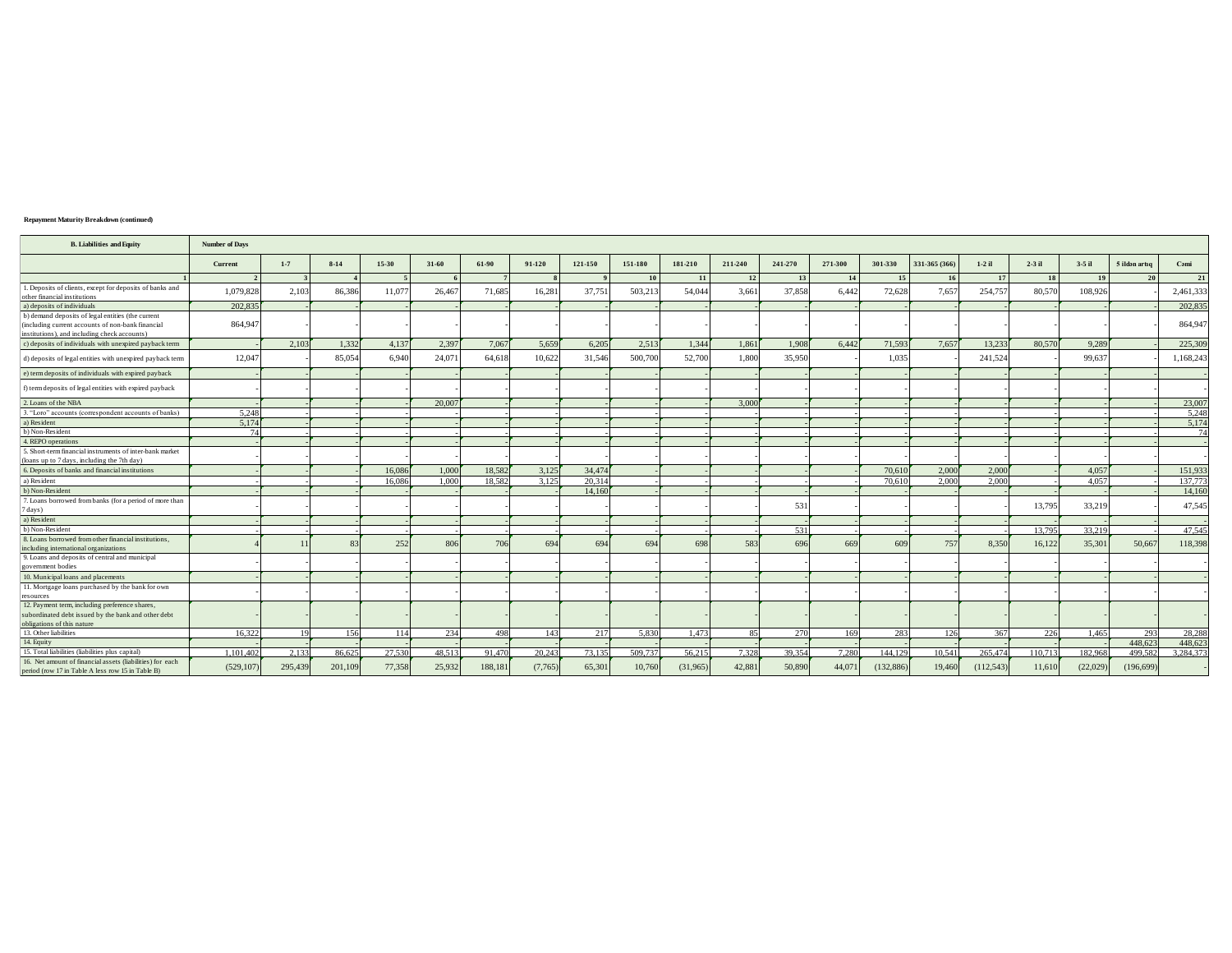## Repayment Maturity Breakdown (continued)

| <b>B.</b> Liabilities and Equity                                                                                                                       | <b>Number of Days</b> |         |          |        |        |         |         |         |         |           |         |         |         |                  |               |              |          |          |               |           |
|--------------------------------------------------------------------------------------------------------------------------------------------------------|-----------------------|---------|----------|--------|--------|---------|---------|---------|---------|-----------|---------|---------|---------|------------------|---------------|--------------|----------|----------|---------------|-----------|
|                                                                                                                                                        | Current               | $1 - 7$ | $8 - 14$ | 15-30  | 31-60  | 61-90   | 91-120  | 121-150 | 151-180 | 181-210   | 211-240 | 241-270 | 271-300 | 301-330          | 331-365 (366) | $1-2$ il     | $2-3$ il | $3-5$ il | 5 ildən artıq | Cami      |
|                                                                                                                                                        |                       |         |          |        |        |         |         |         | 10      | <b>11</b> | 12      | 13      | 14      | 15 <sup>15</sup> | 16            | $\mathbf{r}$ | 18       | 19       | 20            | 21        |
| 1. Deposits of clients, except for deposits of banks and<br>other financial institutions                                                               | 1.079.828             | 2.103   | 86,386   | 11,07  | 26,467 | 71.685  | 16,281  | 37,751  | 503.213 | 54,044    | 3.661   | 37,858  | 6,442   | 72.628           | 7.657         | 254,757      | 80,570   | 108,926  |               | 2,461,333 |
| a) deposits of individuals                                                                                                                             | 202.835               |         |          |        |        |         |         |         |         |           |         |         |         |                  |               |              |          |          |               | 202,835   |
| b) demand deposits of legal entities (the current<br>(including current accounts of non-bank financial<br>institutions), and including check accounts) | 864,947               |         |          |        |        |         |         |         |         |           |         |         |         |                  |               |              |          |          |               | 864,947   |
| c) deposits of individuals with unexpired payback term                                                                                                 |                       | 2.103   | 1.332    | 4,137  | 2,397  | 7.067   | 5.659   | 6.205   | 2.513   | 1,344     | 1,861   | 1.908   | 6.442   | 71.593           | 7.657         | 13.233       | 80,570   | 9,289    |               | 225,309   |
| d) deposits of legal entities with unexpired payback term                                                                                              | 12,047                |         | 85,054   | 6,940  | 24,071 | 64,618  | 10,622  | 31,546  | 500,700 | 52,700    | 1,800   | 35,950  |         | 1.035            |               | 241,524      |          | 99,637   |               | 1,168,243 |
| e) term deposits of individuals with expired payback                                                                                                   |                       |         |          |        |        |         |         |         |         |           |         |         |         |                  |               |              |          |          |               |           |
| f) term deposits of legal entities with expired payback                                                                                                |                       |         |          |        |        |         |         |         |         |           |         |         |         |                  |               |              |          |          |               |           |
| 2. Loans of the NBA                                                                                                                                    |                       |         |          |        | 20.007 |         |         |         |         |           | 3.000   |         |         |                  |               |              |          |          |               | 23,007    |
| 3. "Loro" accounts (correspondent accounts of banks)                                                                                                   | 5,248                 |         |          |        |        |         |         |         |         |           |         |         |         |                  |               |              |          |          |               | 5,248     |
| a) Resident                                                                                                                                            | 5.174                 |         |          |        |        |         |         |         |         |           |         |         |         |                  |               |              |          |          |               | 5,174     |
| b) Non-Resident                                                                                                                                        | 74                    |         |          |        |        |         |         |         |         |           |         |         |         |                  |               |              |          |          |               | 74        |
| 4. REPO operations                                                                                                                                     |                       |         |          |        |        |         |         |         |         |           |         |         |         |                  |               |              |          |          |               |           |
| 5. Short-term financial instruments of inter-bank market<br>(loans up to 7 days, including the 7th day)                                                |                       |         |          |        |        |         |         |         |         |           |         |         |         |                  |               |              |          |          |               |           |
| 6. Deposits of banks and financial institutions                                                                                                        |                       |         |          | 16,086 | 1.000  | 18.582  | 3,125   | 34,474  |         |           |         |         |         | 70,610           | 2,000         | 2.000        |          | 4.057    |               | 151,933   |
| a) Resident                                                                                                                                            |                       |         |          | 16.086 | 1.000  | 18.582  | 3.125   | 20,314  |         |           |         |         |         | 70.610           | 2.000         | 2.000        |          | 4.057    |               | 137,773   |
| b) Non-Resident                                                                                                                                        |                       |         |          |        |        |         |         | 14,160  |         |           |         |         |         |                  |               |              |          |          |               | 14,160    |
| 7. Loans borrowed from banks (for a period of more than<br>days)                                                                                       |                       |         |          |        |        |         |         |         |         |           |         | 531     |         |                  |               |              | 13,795   | 33,219   |               | 47.545    |
| a) Resident                                                                                                                                            |                       |         |          |        |        |         |         |         |         |           |         |         |         |                  |               |              |          |          |               |           |
| b) Non-Resident                                                                                                                                        |                       |         |          |        |        |         |         |         |         |           |         | 531     |         |                  |               |              | 13,795   | 33.219   |               | 47.545    |
| 8. Loans borrowed from other financial institutions.<br>including international organizations                                                          |                       |         |          | 252    | 806    | 706     | 694     | 694     | 694     | 698       | 583     | 696     | 669     | 609              | 757           | 8.350        | 16,122   | 35,301   | 50,667        | 118,398   |
| 9. Loans and deposits of central and municipal<br>government bodies                                                                                    |                       |         |          |        |        |         |         |         |         |           |         |         |         |                  |               |              |          |          |               |           |
| 10. Municipal loans and placements                                                                                                                     |                       |         |          |        |        |         |         |         |         |           |         |         |         |                  |               |              |          |          |               |           |
| 11. Mortgage loans purchased by the bank for own<br>resources                                                                                          |                       |         |          |        |        |         |         |         |         |           |         |         |         |                  |               |              |          |          |               |           |
| 12. Payment term, including preference shares,<br>ubordinated debt issued by the bank and other debt<br>obligations of this nature                     |                       |         |          |        |        |         |         |         |         |           |         |         |         |                  |               |              |          |          |               |           |
| 13. Other liabilities                                                                                                                                  | 16.322                |         | 156      | 114    | 234    | 498     | 143     | 217     | 5.830   | 1.473     | 85      | 270     | 169     | 283              | 126           | 367          | 226      | 1.465    | 293           | 28,288    |
| 14. Equity                                                                                                                                             |                       |         |          |        |        |         |         |         |         |           |         |         |         |                  |               |              |          |          | 448,623       | 448,623   |
| 15. Total liabilities (liabilities plus capital)                                                                                                       | 1.101.402             | 2.133   | 86.625   | 27,530 | 48.513 | 91.470  | 20.243  | 73.135  | 509.737 | 56,215    | 7.328   | 39.354  | 7.280   | 144,129          | 10.541        | 265,474      | 110.713  | 182.968  | 499.582       | 3.284.373 |
| 16. Net amount of financial assets (liabilities) for each<br>period (row 17 in Table A less row 15 in Table B)                                         | (529, 107)            | 295,439 | 201,109  | 77,358 | 25,932 | 188,181 | (7,765) | 65,301  | 10,760  | (31,965)  | 42,881  | 50,890  | 44,07   | (132, 886)       | 19,460        | (112, 543)   | 11,610   | (22,029) | (196, 699)    |           |